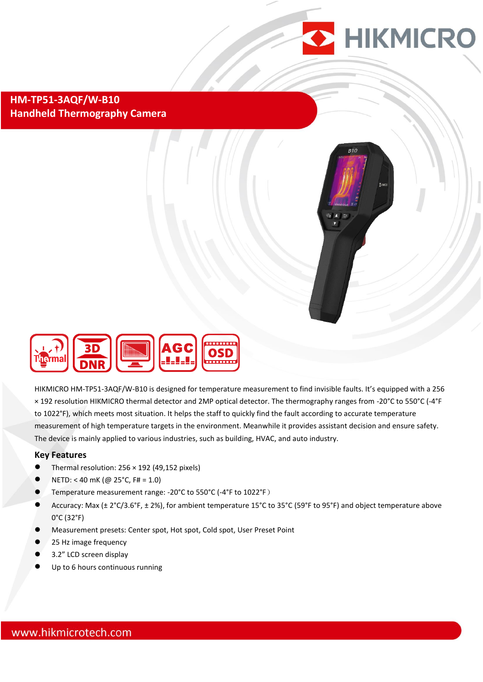

### **HM-TP51-3AQF/W-B10 Handheld Thermography Camera**





HIKMICRO HM-TP51-3AQF/W-B10 is designed for temperature measurement to find invisible faults. It's equipped with a 256 × 192 resolution HIKMICRO thermal detector and 2MP optical detector. The thermography ranges from -20°C to 550°C (-4°F to 1022°F), which meets most situation. It helps the staff to quickly find the fault according to accurate temperature measurement of high temperature targets in the environment. Meanwhile it provides assistant decision and ensure safety. The device is mainly applied to various industries, such as building, HVAC, and auto industry.

### **Key Features**

- $\bullet$  Thermal resolution: 256 × 192 (49,152 pixels)
- NETD: < 40 mK (@ 25°C, F# = 1.0)
- Temperature measurement range: -20°C to 550°C (-4°F to 1022°F)
- Accuracy: Max (± 2°C/3.6°F, ± 2%), for ambient temperature 15°C to 35°C (59°F to 95°F) and object temperature above 0°C (32°F)
- Measurement presets: Center spot, Hot spot, Cold spot, User Preset Point
- 25 Hz image frequency
- 3.2" LCD screen display
- Up to 6 hours continuous running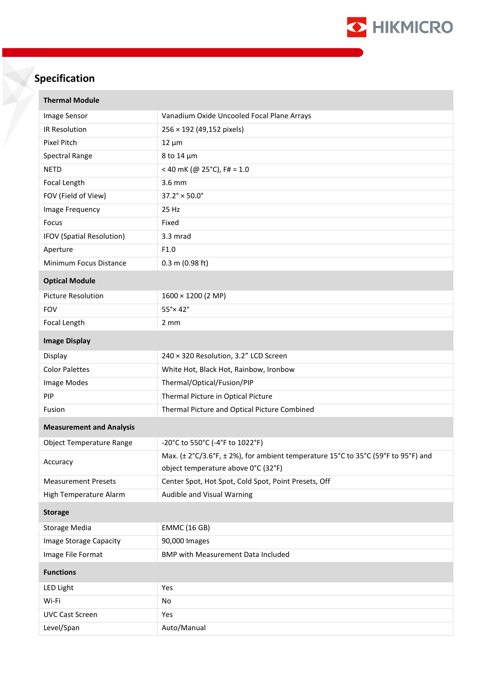

# **Specification**

| <b>Thermal Module</b>           |                                                                                   |
|---------------------------------|-----------------------------------------------------------------------------------|
| Image Sensor                    | Vanadium Oxide Uncooled Focal Plane Arrays                                        |
| IR Resolution                   | 256 × 192 (49,152 pixels)                                                         |
| <b>Pixel Pitch</b>              | $12 \mu m$                                                                        |
| Spectral Range                  | 8 to 14 µm                                                                        |
| <b>NETD</b>                     | < 40 mK (@ 25°C), F# = 1.0                                                        |
| Focal Length                    | 3.6 mm                                                                            |
| FOV (Field of View)             | $37.2^{\circ} \times 50.0^{\circ}$                                                |
| Image Frequency                 | 25 Hz                                                                             |
| Focus                           | Fixed                                                                             |
| IFOV (Spatial Resolution)       | 3.3 mrad                                                                          |
| Aperture                        | F1.0                                                                              |
| Minimum Focus Distance          | $0.3$ m (0.98 ft)                                                                 |
| <b>Optical Module</b>           |                                                                                   |
| <b>Picture Resolution</b>       | 1600 × 1200 (2 MP)                                                                |
| <b>FOV</b>                      | $55^\circ \times 42^\circ$                                                        |
| Focal Length                    | 2 mm                                                                              |
| <b>Image Display</b>            |                                                                                   |
| Display                         | 240 × 320 Resolution, 3.2" LCD Screen                                             |
| <b>Color Palettes</b>           | White Hot, Black Hot, Rainbow, Ironbow                                            |
| Image Modes                     | Thermal/Optical/Fusion/PIP                                                        |
| PIP                             | Thermal Picture in Optical Picture                                                |
| Fusion                          | Thermal Picture and Optical Picture Combined                                      |
| <b>Measurement and Analysis</b> |                                                                                   |
| <b>Object Temperature Range</b> | -20°C to 550°C (-4°F to 1022°F)                                                   |
| Accuracy                        | Max. (± 2°C/3.6°F, ± 2%), for ambient temperature 15°C to 35°C (59°F to 95°F) and |
|                                 | object temperature above 0°C (32°F)                                               |
| <b>Measurement Presets</b>      | Center Spot, Hot Spot, Cold Spot, Point Presets, Off                              |
| High Temperature Alarm          | Audible and Visual Warning                                                        |
| <b>Storage</b>                  |                                                                                   |
| <b>Storage Media</b>            | <b>EMMC (16 GB)</b>                                                               |
| Image Storage Capacity          | 90,000 Images                                                                     |
| Image File Format               | <b>BMP with Measurement Data Included</b>                                         |
| <b>Functions</b>                |                                                                                   |
| LED Light                       | Yes                                                                               |
| Wi-Fi                           | No                                                                                |
| <b>UVC Cast Screen</b>          | Yes                                                                               |
| Level/Span                      | Auto/Manual                                                                       |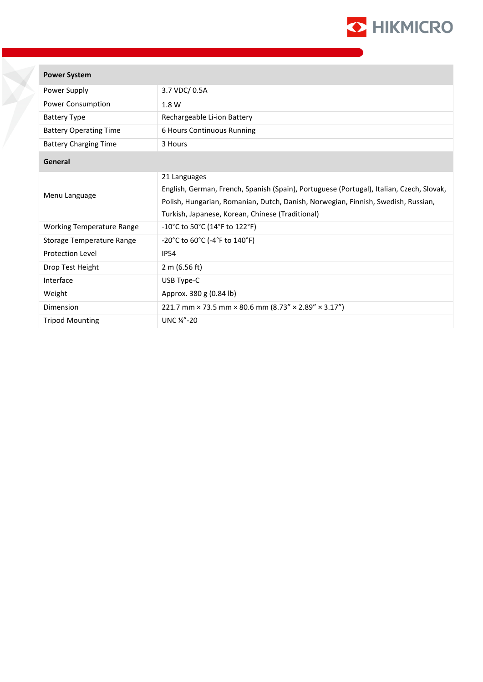

| <b>Power System</b>              |                                                                                                                                                                                                                                                   |
|----------------------------------|---------------------------------------------------------------------------------------------------------------------------------------------------------------------------------------------------------------------------------------------------|
| Power Supply                     | 3.7 VDC/ 0.5A                                                                                                                                                                                                                                     |
| Power Consumption                | 1.8 W                                                                                                                                                                                                                                             |
| <b>Battery Type</b>              | Rechargeable Li-ion Battery                                                                                                                                                                                                                       |
| <b>Battery Operating Time</b>    | 6 Hours Continuous Running                                                                                                                                                                                                                        |
| <b>Battery Charging Time</b>     | 3 Hours                                                                                                                                                                                                                                           |
| General                          |                                                                                                                                                                                                                                                   |
| Menu Language                    | 21 Languages<br>English, German, French, Spanish (Spain), Portuguese (Portugal), Italian, Czech, Slovak,<br>Polish, Hungarian, Romanian, Dutch, Danish, Norwegian, Finnish, Swedish, Russian,<br>Turkish, Japanese, Korean, Chinese (Traditional) |
| <b>Working Temperature Range</b> | -10°C to 50°C (14°F to 122°F)                                                                                                                                                                                                                     |
| Storage Temperature Range        | -20°C to 60°C (-4°F to 140°F)                                                                                                                                                                                                                     |
| <b>Protection Level</b>          | <b>IP54</b>                                                                                                                                                                                                                                       |
| Drop Test Height                 | 2 m (6.56 ft)                                                                                                                                                                                                                                     |
| Interface                        | USB Type-C                                                                                                                                                                                                                                        |
| Weight                           | Approx. 380 g (0.84 lb)                                                                                                                                                                                                                           |
| Dimension                        | 221.7 mm × 73.5 mm × 80.6 mm (8.73" × 2.89" × 3.17")                                                                                                                                                                                              |
| <b>Tripod Mounting</b>           | UNC 1/4"-20                                                                                                                                                                                                                                       |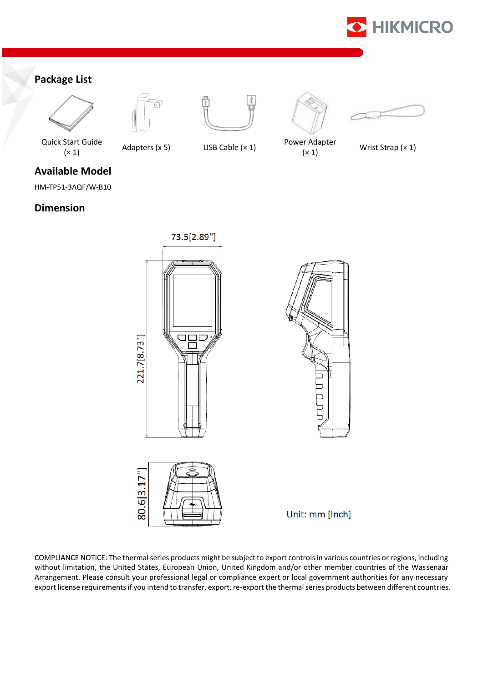

## **Package List**











(× 1) Adapters (x 5) USB Cable (× 1) Power Adapter Power Adapter<br>
(x 1) Wrist Strap (x 1)

Quick Start Guide

**Available Model**

HM-TP51-3AQF/W-B10

**Dimension**

221.7[8.73"]







Unit: mm [Inch]

COMPLIANCE NOTICE: The thermal series products might be subject to export controls in various countries or regions, including without limitation, the United States, European Union, United Kingdom and/or other member countries of the Wassenaar Arrangement. Please consult your professional legal or compliance expert or local government authorities for any necessary export license requirements if you intend to transfer, export, re-export the thermal series products between different countries.